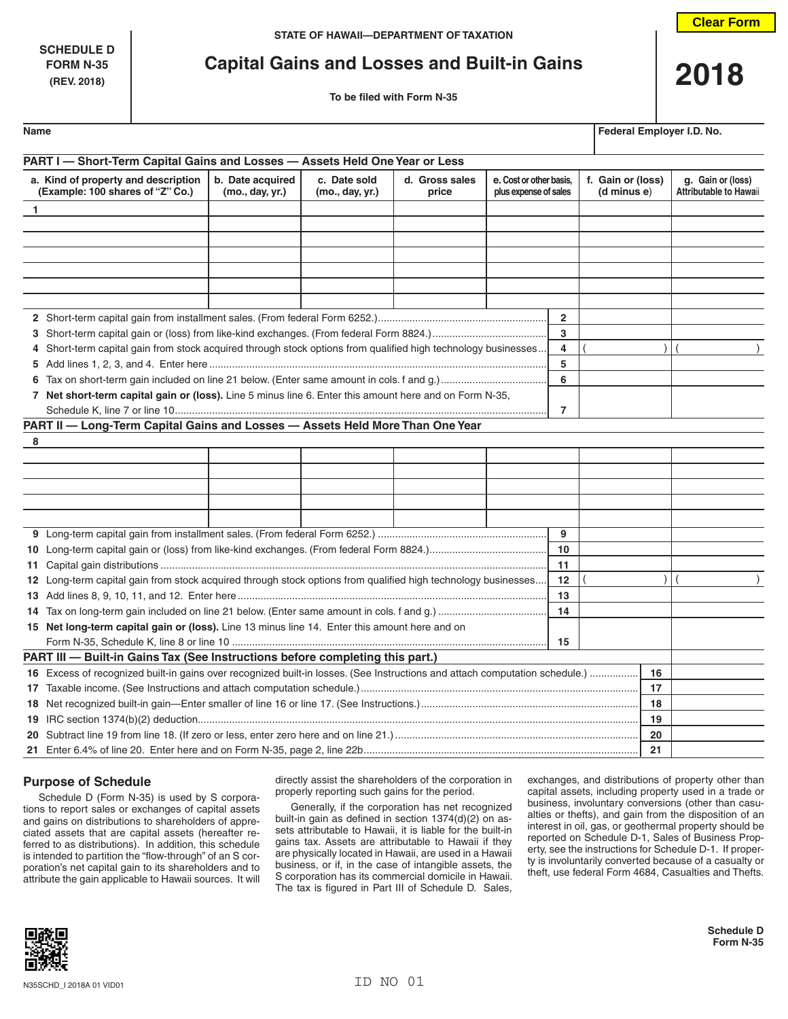**SCHEDULE D**

# **FORM N-35 Capital Gains and Losses and Built-in Gains 2018**

| Name | Federal Employer I.D. No. |  |
|------|---------------------------|--|
|      |                           |  |

| PART I - Short-Term Capital Gains and Losses - Assets Held One Year or Less                                                 |                                                                                                     |                                 |                         |                                                  |                |                                  |                                                    |
|-----------------------------------------------------------------------------------------------------------------------------|-----------------------------------------------------------------------------------------------------|---------------------------------|-------------------------|--------------------------------------------------|----------------|----------------------------------|----------------------------------------------------|
| a. Kind of property and description<br>(Example: 100 shares of "Z" Co.)                                                     | b. Date acquired<br>(mo., day, yr.)                                                                 | c. Date sold<br>(mo., day, yr.) | d. Gross sales<br>price | e. Cost or other basis,<br>plus expense of sales |                | f. Gain or (loss)<br>(d minus e) | g. Gain or (loss)<br><b>Attributable to Hawaii</b> |
| $\mathbf{1}$                                                                                                                |                                                                                                     |                                 |                         |                                                  |                |                                  |                                                    |
|                                                                                                                             |                                                                                                     |                                 |                         |                                                  |                |                                  |                                                    |
|                                                                                                                             |                                                                                                     |                                 |                         |                                                  |                |                                  |                                                    |
|                                                                                                                             |                                                                                                     |                                 |                         |                                                  |                |                                  |                                                    |
|                                                                                                                             |                                                                                                     |                                 |                         |                                                  |                |                                  |                                                    |
|                                                                                                                             |                                                                                                     |                                 |                         |                                                  |                |                                  |                                                    |
|                                                                                                                             |                                                                                                     |                                 |                         |                                                  |                |                                  |                                                    |
|                                                                                                                             |                                                                                                     |                                 |                         |                                                  | $\overline{2}$ |                                  |                                                    |
|                                                                                                                             |                                                                                                     |                                 |                         |                                                  | 3              |                                  |                                                    |
| 4 Short-term capital gain from stock acquired through stock options from qualified high technology businesses               |                                                                                                     |                                 |                         |                                                  | 4              |                                  |                                                    |
|                                                                                                                             | 5                                                                                                   |                                 |                         |                                                  |                |                                  |                                                    |
|                                                                                                                             |                                                                                                     |                                 |                         |                                                  | 6              |                                  |                                                    |
| 7 Net short-term capital gain or (loss). Line 5 minus line 6. Enter this amount here and on Form N-35,                      |                                                                                                     |                                 |                         |                                                  |                |                                  |                                                    |
|                                                                                                                             |                                                                                                     |                                 |                         |                                                  | 7              |                                  |                                                    |
| PART II - Long-Term Capital Gains and Losses - Assets Held More Than One Year                                               |                                                                                                     |                                 |                         |                                                  |                |                                  |                                                    |
| 8                                                                                                                           |                                                                                                     |                                 |                         |                                                  |                |                                  |                                                    |
|                                                                                                                             |                                                                                                     |                                 |                         |                                                  |                |                                  |                                                    |
|                                                                                                                             |                                                                                                     |                                 |                         |                                                  |                |                                  |                                                    |
|                                                                                                                             |                                                                                                     |                                 |                         |                                                  |                |                                  |                                                    |
|                                                                                                                             |                                                                                                     |                                 |                         |                                                  |                |                                  |                                                    |
|                                                                                                                             |                                                                                                     |                                 |                         |                                                  |                |                                  |                                                    |
| 9                                                                                                                           |                                                                                                     |                                 |                         |                                                  |                |                                  |                                                    |
| 10                                                                                                                          |                                                                                                     |                                 |                         |                                                  |                |                                  |                                                    |
| 11                                                                                                                          |                                                                                                     |                                 |                         |                                                  |                |                                  |                                                    |
| 12 Long-term capital gain from stock acquired through stock options from qualified high technology businesses<br>12         |                                                                                                     |                                 |                         |                                                  |                |                                  |                                                    |
| 13                                                                                                                          |                                                                                                     |                                 |                         |                                                  |                |                                  |                                                    |
|                                                                                                                             | 14<br>15 Net long-term capital gain or (loss). Line 13 minus line 14. Enter this amount here and on |                                 |                         |                                                  |                |                                  |                                                    |
|                                                                                                                             |                                                                                                     |                                 |                         |                                                  |                |                                  |                                                    |
|                                                                                                                             |                                                                                                     |                                 |                         |                                                  | 15             |                                  |                                                    |
| PART III - Built-in Gains Tax (See Instructions before completing this part.)                                               |                                                                                                     |                                 |                         |                                                  |                | 16                               |                                                    |
| 16 Excess of recognized built-in gains over recognized built-in losses. (See Instructions and attach computation schedule.) |                                                                                                     |                                 |                         |                                                  |                |                                  |                                                    |
|                                                                                                                             |                                                                                                     |                                 |                         |                                                  |                | 17                               |                                                    |
|                                                                                                                             |                                                                                                     |                                 |                         |                                                  |                | 18<br>19                         |                                                    |
|                                                                                                                             |                                                                                                     |                                 |                         |                                                  |                | 20                               |                                                    |
|                                                                                                                             |                                                                                                     |                                 |                         |                                                  |                | 21                               |                                                    |
|                                                                                                                             |                                                                                                     |                                 |                         |                                                  |                |                                  |                                                    |

# **Purpose of Schedule**

Schedule D (Form N-35) is used by S corporations to report sales or exchanges of capital assets and gains on distributions to shareholders of appreciated assets that are capital assets (hereafter referred to as distributions). In addition, this schedule is intended to partition the "flow-through" of an S corporation's net capital gain to its shareholders and to attribute the gain applicable to Hawaii sources. It will directly assist the shareholders of the corporation in properly reporting such gains for the period.

Generally, if the corporation has net recognized built-in gain as defined in section 1374(d)(2) on assets attributable to Hawaii, it is liable for the built-in gains tax. Assets are attributable to Hawaii if they are physically located in Hawaii, are used in a Hawaii business, or if, in the case of intangible assets, the S corporation has its commercial domicile in Hawaii. The tax is figured in Part III of Schedule D. Sales, exchanges, and distributions of property other than capital assets, including property used in a trade or business, involuntary conversions (other than casualties or thefts), and gain from the disposition of an interest in oil, gas, or geothermal property should be reported on Schedule D-1, Sales of Business Property, see the instructions for Schedule D-1. If property is involuntarily converted because of a casualty or theft, use federal Form 4684, Casualties and Thefts.